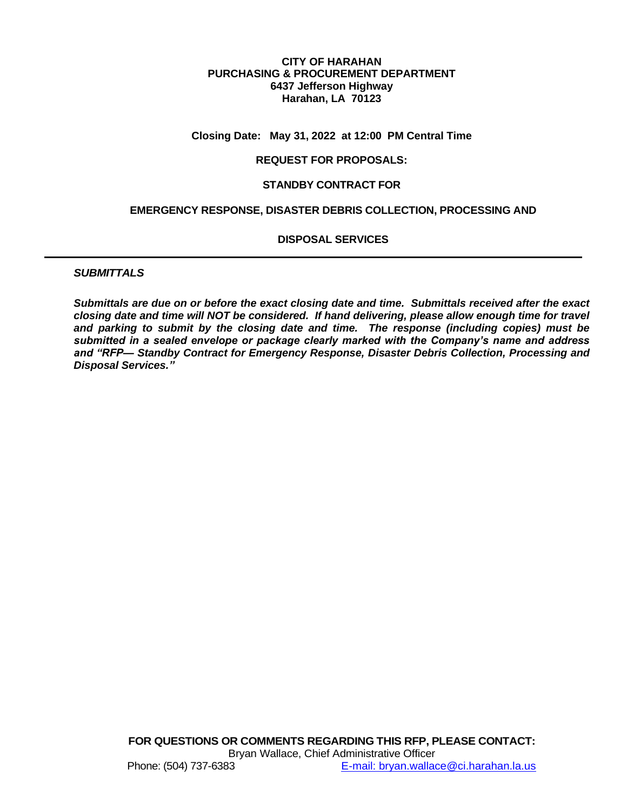#### **CITY OF HARAHAN PURCHASING & PROCUREMENT DEPARTMENT 6437 Jefferson Highway Harahan, LA 70123**

#### **Closing Date: May 31, 2022 at 12:00 PM Central Time**

#### **REQUEST FOR PROPOSALS:**

#### **STANDBY CONTRACT FOR**

#### **EMERGENCY RESPONSE, DISASTER DEBRIS COLLECTION, PROCESSING AND**

#### **DISPOSAL SERVICES**

#### *SUBMITTALS*

*Submittals are due on or before the exact closing date and time. Submittals received after the exact closing date and time will NOT be considered. If hand delivering, please allow enough time for travel and parking to submit by the closing date and time. The response (including copies) must be submitted in a sealed envelope or package clearly marked with the Company's name and address and "RFP— Standby Contract for Emergency Response, Disaster Debris Collection, Processing and Disposal Services."*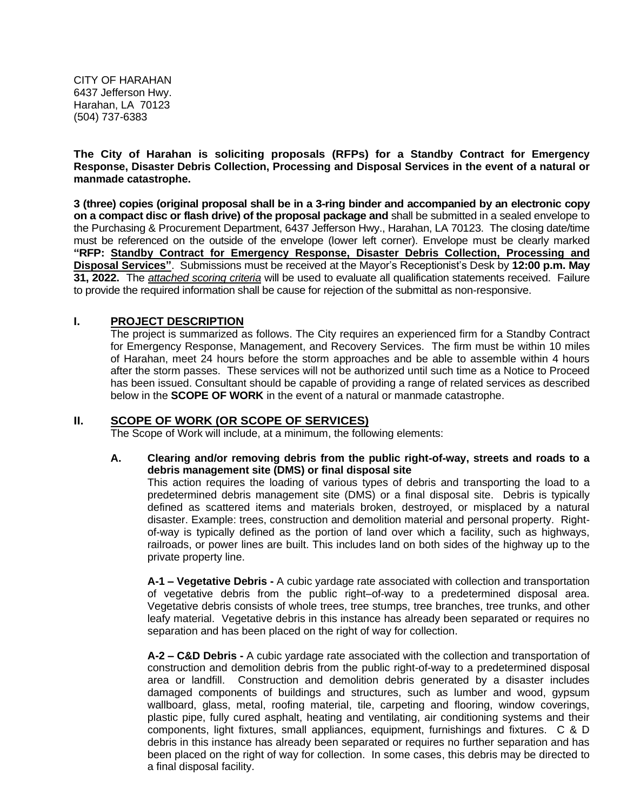CITY OF HARAHAN 6437 Jefferson Hwy. Harahan, LA 70123 (504) 737-6383

**The City of Harahan is soliciting proposals (RFPs) for a Standby Contract for Emergency Response, Disaster Debris Collection, Processing and Disposal Services in the event of a natural or manmade catastrophe.**

**3 (three) copies (original proposal shall be in a 3-ring binder and accompanied by an electronic copy on a compact disc or flash drive) of the proposal package and** shall be submitted in a sealed envelope to the Purchasing & Procurement Department, 6437 Jefferson Hwy., Harahan, LA 70123. The closing date/time must be referenced on the outside of the envelope (lower left corner). Envelope must be clearly marked **"RFP: Standby Contract for Emergency Response, Disaster Debris Collection, Processing and Disposal Services"**. Submissions must be received at the Mayor's Receptionist's Desk by **12:00 p.m. May 31, 2022.** The *attached scoring criteria* will be used to evaluate all qualification statements received. Failure to provide the required information shall be cause for rejection of the submittal as non-responsive.

## **I. PROJECT DESCRIPTION**

The project is summarized as follows. The City requires an experienced firm for a Standby Contract for Emergency Response, Management, and Recovery Services. The firm must be within 10 miles of Harahan, meet 24 hours before the storm approaches and be able to assemble within 4 hours after the storm passes. These services will not be authorized until such time as a Notice to Proceed has been issued. Consultant should be capable of providing a range of related services as described below in the **SCOPE OF WORK** in the event of a natural or manmade catastrophe.

## **II. SCOPE OF WORK (OR SCOPE OF SERVICES)**

The Scope of Work will include, at a minimum, the following elements:

#### **A. Clearing and/or removing debris from the public right-of-way, streets and roads to a debris management site (DMS) or final disposal site**

This action requires the loading of various types of debris and transporting the load to a predetermined debris management site (DMS) or a final disposal site. Debris is typically defined as scattered items and materials broken, destroyed, or misplaced by a natural disaster. Example: trees, construction and demolition material and personal property. Rightof-way is typically defined as the portion of land over which a facility, such as highways, railroads, or power lines are built. This includes land on both sides of the highway up to the private property line.

**A-1 – Vegetative Debris -** A cubic yardage rate associated with collection and transportation of vegetative debris from the public right–of-way to a predetermined disposal area. Vegetative debris consists of whole trees, tree stumps, tree branches, tree trunks, and other leafy material. Vegetative debris in this instance has already been separated or requires no separation and has been placed on the right of way for collection.

**A-2 – C&D Debris -** A cubic yardage rate associated with the collection and transportation of construction and demolition debris from the public right-of-way to a predetermined disposal area or landfill. Construction and demolition debris generated by a disaster includes damaged components of buildings and structures, such as lumber and wood, gypsum wallboard, glass, metal, roofing material, tile, carpeting and flooring, window coverings, plastic pipe, fully cured asphalt, heating and ventilating, air conditioning systems and their components, light fixtures, small appliances, equipment, furnishings and fixtures. C & D debris in this instance has already been separated or requires no further separation and has been placed on the right of way for collection. In some cases, this debris may be directed to a final disposal facility.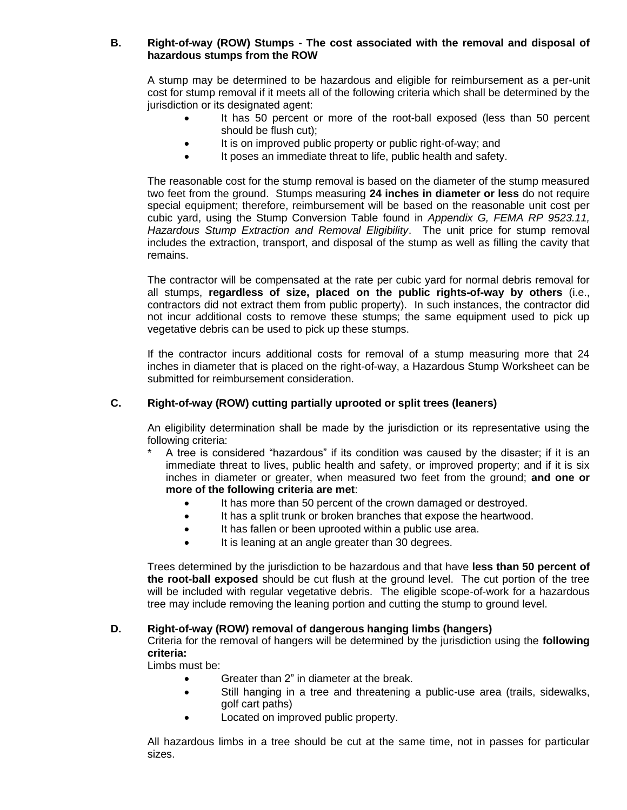## **B. Right-of-way (ROW) Stumps - The cost associated with the removal and disposal of hazardous stumps from the ROW**

A stump may be determined to be hazardous and eligible for reimbursement as a per-unit cost for stump removal if it meets all of the following criteria which shall be determined by the jurisdiction or its designated agent:

- It has 50 percent or more of the root-ball exposed (less than 50 percent should be flush cut);
- It is on improved public property or public right-of-way; and
- It poses an immediate threat to life, public health and safety.

The reasonable cost for the stump removal is based on the diameter of the stump measured two feet from the ground. Stumps measuring **24 inches in diameter or less** do not require special equipment; therefore, reimbursement will be based on the reasonable unit cost per cubic yard, using the Stump Conversion Table found in *Appendix G, FEMA RP 9523.11, Hazardous Stump Extraction and Removal Eligibility*. The unit price for stump removal includes the extraction, transport, and disposal of the stump as well as filling the cavity that remains.

The contractor will be compensated at the rate per cubic yard for normal debris removal for all stumps, **regardless of size, placed on the public rights-of-way by others** (i.e., contractors did not extract them from public property). In such instances, the contractor did not incur additional costs to remove these stumps; the same equipment used to pick up vegetative debris can be used to pick up these stumps.

If the contractor incurs additional costs for removal of a stump measuring more that 24 inches in diameter that is placed on the right-of-way, a Hazardous Stump Worksheet can be submitted for reimbursement consideration.

## **C. Right-of-way (ROW) cutting partially uprooted or split trees (leaners)**

An eligibility determination shall be made by the jurisdiction or its representative using the following criteria:

- A tree is considered "hazardous" if its condition was caused by the disaster; if it is an immediate threat to lives, public health and safety, or improved property; and if it is six inches in diameter or greater, when measured two feet from the ground; **and one or more of the following criteria are met**:
	- It has more than 50 percent of the crown damaged or destroyed.
	- It has a split trunk or broken branches that expose the heartwood.
	- It has fallen or been uprooted within a public use area.
	- It is leaning at an angle greater than 30 degrees.

Trees determined by the jurisdiction to be hazardous and that have **less than 50 percent of the root-ball exposed** should be cut flush at the ground level. The cut portion of the tree will be included with regular vegetative debris. The eligible scope-of-work for a hazardous tree may include removing the leaning portion and cutting the stump to ground level.

## **D. Right-of-way (ROW) removal of dangerous hanging limbs (hangers)**

Criteria for the removal of hangers will be determined by the jurisdiction using the **following criteria:**

Limbs must be:

- Greater than 2" in diameter at the break.
- Still hanging in a tree and threatening a public-use area (trails, sidewalks, golf cart paths)
- Located on improved public property.

All hazardous limbs in a tree should be cut at the same time, not in passes for particular sizes.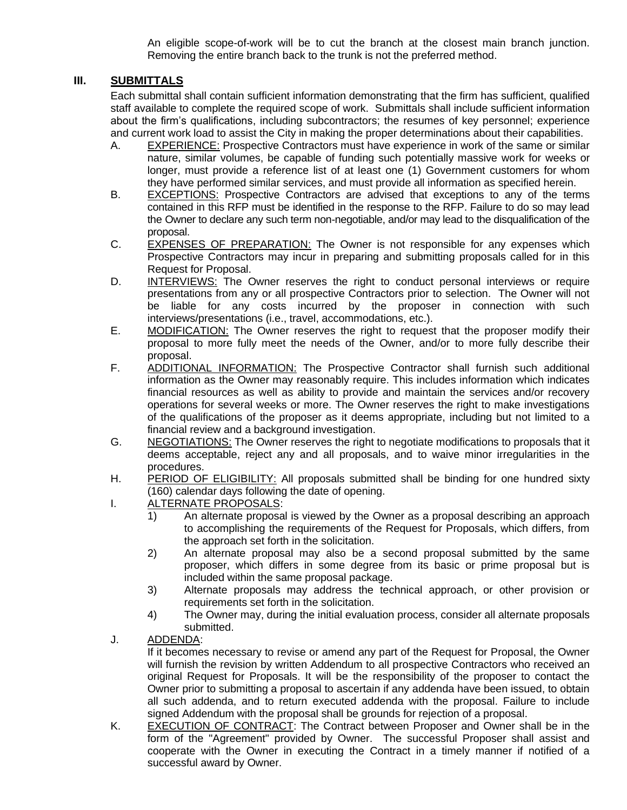An eligible scope-of-work will be to cut the branch at the closest main branch junction. Removing the entire branch back to the trunk is not the preferred method.

# **III. SUBMITTALS**

Each submittal shall contain sufficient information demonstrating that the firm has sufficient, qualified staff available to complete the required scope of work. Submittals shall include sufficient information about the firm's qualifications, including subcontractors; the resumes of key personnel; experience and current work load to assist the City in making the proper determinations about their capabilities.

- A. EXPERIENCE: Prospective Contractors must have experience in work of the same or similar nature, similar volumes, be capable of funding such potentially massive work for weeks or longer, must provide a reference list of at least one (1) Government customers for whom they have performed similar services, and must provide all information as specified herein.
- B. EXCEPTIONS: Prospective Contractors are advised that exceptions to any of the terms contained in this RFP must be identified in the response to the RFP. Failure to do so may lead the Owner to declare any such term non-negotiable, and/or may lead to the disqualification of the proposal.
- C. EXPENSES OF PREPARATION: The Owner is not responsible for any expenses which Prospective Contractors may incur in preparing and submitting proposals called for in this Request for Proposal.
- D. **INTERVIEWS:** The Owner reserves the right to conduct personal interviews or require presentations from any or all prospective Contractors prior to selection. The Owner will not be liable for any costs incurred by the proposer in connection with such interviews/presentations (i.e., travel, accommodations, etc.).
- E. MODIFICATION: The Owner reserves the right to request that the proposer modify their proposal to more fully meet the needs of the Owner, and/or to more fully describe their proposal.
- F. ADDITIONAL INFORMATION: The Prospective Contractor shall furnish such additional information as the Owner may reasonably require. This includes information which indicates financial resources as well as ability to provide and maintain the services and/or recovery operations for several weeks or more. The Owner reserves the right to make investigations of the qualifications of the proposer as it deems appropriate, including but not limited to a financial review and a background investigation.
- G. NEGOTIATIONS: The Owner reserves the right to negotiate modifications to proposals that it deems acceptable, reject any and all proposals, and to waive minor irregularities in the procedures.
- H. PERIOD OF ELIGIBILITY: All proposals submitted shall be binding for one hundred sixty (160) calendar days following the date of opening.
- I. ALTERNATE PROPOSALS:
	- 1) An alternate proposal is viewed by the Owner as a proposal describing an approach to accomplishing the requirements of the Request for Proposals, which differs, from the approach set forth in the solicitation.
	- 2) An alternate proposal may also be a second proposal submitted by the same proposer, which differs in some degree from its basic or prime proposal but is included within the same proposal package.
	- 3) Alternate proposals may address the technical approach, or other provision or requirements set forth in the solicitation.
	- 4) The Owner may, during the initial evaluation process, consider all alternate proposals submitted.
- J.ADDENDA:

If it becomes necessary to revise or amend any part of the Request for Proposal, the Owner will furnish the revision by written Addendum to all prospective Contractors who received an original Request for Proposals. It will be the responsibility of the proposer to contact the Owner prior to submitting a proposal to ascertain if any addenda have been issued, to obtain all such addenda, and to return executed addenda with the proposal. Failure to include signed Addendum with the proposal shall be grounds for rejection of a proposal.

K. EXECUTION OF CONTRACT: The Contract between Proposer and Owner shall be in the form of the "Agreement" provided by Owner. The successful Proposer shall assist and cooperate with the Owner in executing the Contract in a timely manner if notified of a successful award by Owner.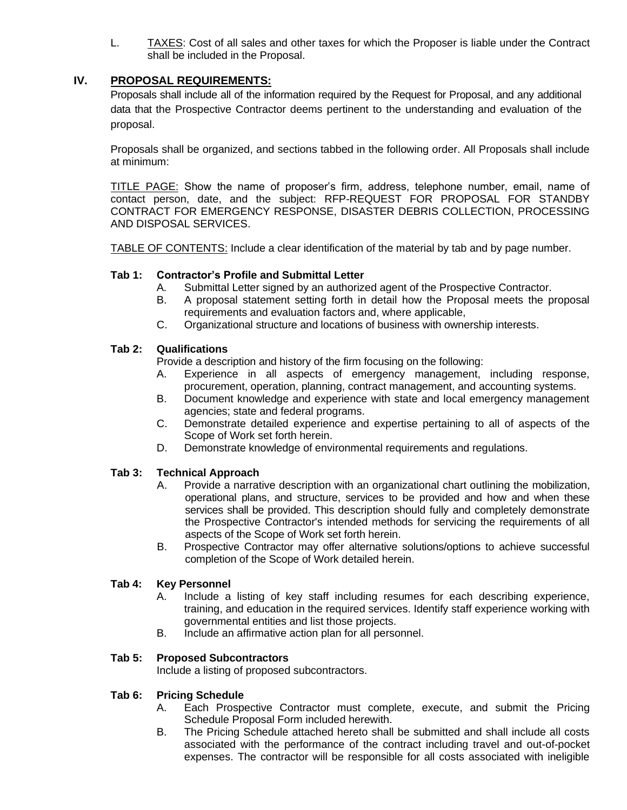L. TAXES: Cost of all sales and other taxes for which the Proposer is liable under the Contract shall be included in the Proposal.

# **IV. PROPOSAL REQUIREMENTS:**

Proposals shall include all of the information required by the Request for Proposal, and any additional data that the Prospective Contractor deems pertinent to the understanding and evaluation of the proposal.

Proposals shall be organized, and sections tabbed in the following order. All Proposals shall include at minimum:

TITLE PAGE: Show the name of proposer's firm, address, telephone number, email, name of contact person, date, and the subject: RFP-REQUEST FOR PROPOSAL FOR STANDBY CONTRACT FOR EMERGENCY RESPONSE, DISASTER DEBRIS COLLECTION, PROCESSING AND DISPOSAL SERVICES.

TABLE OF CONTENTS: Include a clear identification of the material by tab and by page number.

## **Tab 1: Contractor's Profile and Submittal Letter**

- A. Submittal Letter signed by an authorized agent of the Prospective Contractor.
- B. A proposal statement setting forth in detail how the Proposal meets the proposal requirements and evaluation factors and, where applicable,
- C. Organizational structure and locations of business with ownership interests.

## **Tab 2: Qualifications**

Provide a description and history of the firm focusing on the following:

- A. Experience in all aspects of emergency management, including response, procurement, operation, planning, contract management, and accounting systems.
- B. Document knowledge and experience with state and local emergency management agencies; state and federal programs.
- C. Demonstrate detailed experience and expertise pertaining to all of aspects of the Scope of Work set forth herein.
- D. Demonstrate knowledge of environmental requirements and regulations.

## **Tab 3: Technical Approach**

- A. Provide a narrative description with an organizational chart outlining the mobilization, operational plans, and structure, services to be provided and how and when these services shall be provided. This description should fully and completely demonstrate the Prospective Contractor's intended methods for servicing the requirements of all aspects of the Scope of Work set forth herein.
- B. Prospective Contractor may offer alternative solutions/options to achieve successful completion of the Scope of Work detailed herein.

## **Tab 4: Key Personnel**

- A. Include a listing of key staff including resumes for each describing experience, training, and education in the required services. Identify staff experience working with governmental entities and list those projects.
- B. Include an affirmative action plan for all personnel.

## **Tab 5: Proposed Subcontractors**

Include a listing of proposed subcontractors.

## **Tab 6: Pricing Schedule**

- A. Each Prospective Contractor must complete, execute, and submit the Pricing Schedule Proposal Form included herewith.
- B. The Pricing Schedule attached hereto shall be submitted and shall include all costs associated with the performance of the contract including travel and out-of-pocket expenses. The contractor will be responsible for all costs associated with ineligible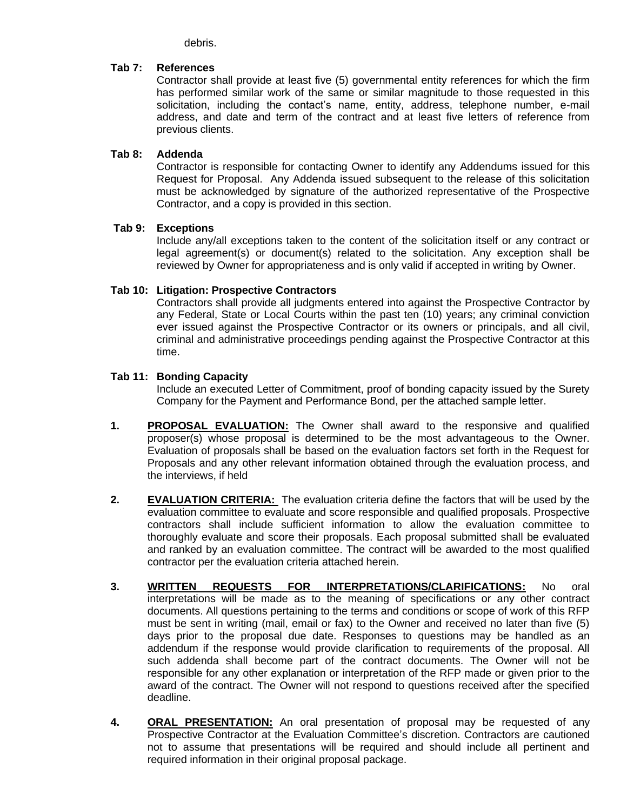debris.

## **Tab 7: References**

Contractor shall provide at least five (5) governmental entity references for which the firm has performed similar work of the same or similar magnitude to those requested in this solicitation, including the contact's name, entity, address, telephone number, e-mail address, and date and term of the contract and at least five letters of reference from previous clients.

## **Tab 8: Addenda**

Contractor is responsible for contacting Owner to identify any Addendums issued for this Request for Proposal. Any Addenda issued subsequent to the release of this solicitation must be acknowledged by signature of the authorized representative of the Prospective Contractor, and a copy is provided in this section.

#### **Tab 9: Exceptions**

Include any/all exceptions taken to the content of the solicitation itself or any contract or legal agreement(s) or document(s) related to the solicitation. Any exception shall be reviewed by Owner for appropriateness and is only valid if accepted in writing by Owner.

#### **Tab 10: Litigation: Prospective Contractors**

Contractors shall provide all judgments entered into against the Prospective Contractor by any Federal, State or Local Courts within the past ten (10) years; any criminal conviction ever issued against the Prospective Contractor or its owners or principals, and all civil, criminal and administrative proceedings pending against the Prospective Contractor at this time.

#### **Tab 11: Bonding Capacity**

Include an executed Letter of Commitment, proof of bonding capacity issued by the Surety Company for the Payment and Performance Bond, per the attached sample letter.

- **1. PROPOSAL EVALUATION:** The Owner shall award to the responsive and qualified proposer(s) whose proposal is determined to be the most advantageous to the Owner. Evaluation of proposals shall be based on the evaluation factors set forth in the Request for Proposals and any other relevant information obtained through the evaluation process, and the interviews, if held
- **2. EVALUATION CRITERIA:** The evaluation criteria define the factors that will be used by the evaluation committee to evaluate and score responsible and qualified proposals. Prospective contractors shall include sufficient information to allow the evaluation committee to thoroughly evaluate and score their proposals. Each proposal submitted shall be evaluated and ranked by an evaluation committee. The contract will be awarded to the most qualified contractor per the evaluation criteria attached herein.
- **3. WRITTEN REQUESTS FOR INTERPRETATIONS/CLARIFICATIONS:** No oral interpretations will be made as to the meaning of specifications or any other contract documents. All questions pertaining to the terms and conditions or scope of work of this RFP must be sent in writing (mail, email or fax) to the Owner and received no later than five (5) days prior to the proposal due date. Responses to questions may be handled as an addendum if the response would provide clarification to requirements of the proposal. All such addenda shall become part of the contract documents. The Owner will not be responsible for any other explanation or interpretation of the RFP made or given prior to the award of the contract. The Owner will not respond to questions received after the specified deadline.
- **4. ORAL PRESENTATION:** An oral presentation of proposal may be requested of any Prospective Contractor at the Evaluation Committee's discretion. Contractors are cautioned not to assume that presentations will be required and should include all pertinent and required information in their original proposal package.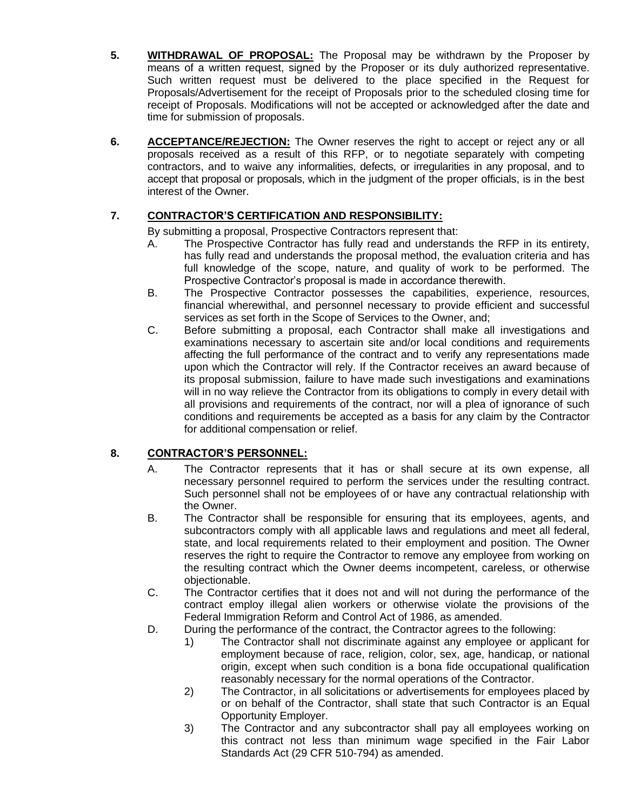- **5. WITHDRAWAL OF PROPOSAL:** The Proposal may be withdrawn by the Proposer by means of a written request, signed by the Proposer or its duly authorized representative. Such written request must be delivered to the place specified in the Request for Proposals/Advertisement for the receipt of Proposals prior to the scheduled closing time for receipt of Proposals. Modifications will not be accepted or acknowledged after the date and time for submission of proposals.
- **6. ACCEPTANCE/REJECTION:** The Owner reserves the right to accept or reject any or all proposals received as a result of this RFP, or to negotiate separately with competing contractors, and to waive any informalities, defects, or irregularities in any proposal, and to accept that proposal or proposals, which in the judgment of the proper officials, is in the best interest of the Owner.

# **7. CONTRACTOR'S CERTIFICATION AND RESPONSIBILITY:**

By submitting a proposal, Prospective Contractors represent that:

- A. The Prospective Contractor has fully read and understands the RFP in its entirety, has fully read and understands the proposal method, the evaluation criteria and has full knowledge of the scope, nature, and quality of work to be performed. The Prospective Contractor's proposal is made in accordance therewith.
- B. The Prospective Contractor possesses the capabilities, experience, resources, financial wherewithal, and personnel necessary to provide efficient and successful services as set forth in the Scope of Services to the Owner, and;
- C. Before submitting a proposal, each Contractor shall make all investigations and examinations necessary to ascertain site and/or local conditions and requirements affecting the full performance of the contract and to verify any representations made upon which the Contractor will rely. If the Contractor receives an award because of its proposal submission, failure to have made such investigations and examinations will in no way relieve the Contractor from its obligations to comply in every detail with all provisions and requirements of the contract, nor will a plea of ignorance of such conditions and requirements be accepted as a basis for any claim by the Contractor for additional compensation or relief.

# **8. CONTRACTOR'S PERSONNEL:**

- A. The Contractor represents that it has or shall secure at its own expense, all necessary personnel required to perform the services under the resulting contract. Such personnel shall not be employees of or have any contractual relationship with the Owner.
- B. The Contractor shall be responsible for ensuring that its employees, agents, and subcontractors comply with all applicable laws and regulations and meet all federal, state, and local requirements related to their employment and position. The Owner reserves the right to require the Contractor to remove any employee from working on the resulting contract which the Owner deems incompetent, careless, or otherwise objectionable.
- C. The Contractor certifies that it does not and will not during the performance of the contract employ illegal alien workers or otherwise violate the provisions of the Federal Immigration Reform and Control Act of 1986, as amended.
- D. During the performance of the contract, the Contractor agrees to the following:
	- 1) The Contractor shall not discriminate against any employee or applicant for employment because of race, religion, color, sex, age, handicap, or national origin, except when such condition is a bona fide occupational qualification reasonably necessary for the normal operations of the Contractor.
	- 2) The Contractor, in all solicitations or advertisements for employees placed by or on behalf of the Contractor, shall state that such Contractor is an Equal Opportunity Employer.
	- 3) The Contractor and any subcontractor shall pay all employees working on this contract not less than minimum wage specified in the Fair Labor Standards Act (29 CFR 510-794) as amended.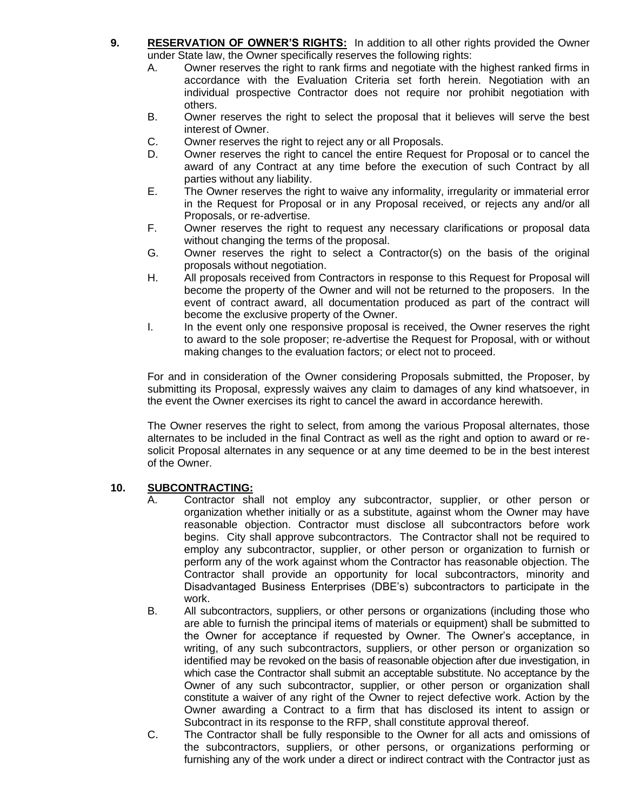- **9. RESERVATION OF OWNER'S RIGHTS:** In addition to all other rights provided the Owner under State law, the Owner specifically reserves the following rights:
	- A. Owner reserves the right to rank firms and negotiate with the highest ranked firms in accordance with the Evaluation Criteria set forth herein. Negotiation with an individual prospective Contractor does not require nor prohibit negotiation with others.
	- B. Owner reserves the right to select the proposal that it believes will serve the best interest of Owner.
	- C. Owner reserves the right to reject any or all Proposals.
	- D. Owner reserves the right to cancel the entire Request for Proposal or to cancel the award of any Contract at any time before the execution of such Contract by all parties without any liability.
	- E. The Owner reserves the right to waive any informality, irregularity or immaterial error in the Request for Proposal or in any Proposal received, or rejects any and/or all Proposals, or re-advertise.
	- F. Owner reserves the right to request any necessary clarifications or proposal data without changing the terms of the proposal.
	- G. Owner reserves the right to select a Contractor(s) on the basis of the original proposals without negotiation.
	- H. All proposals received from Contractors in response to this Request for Proposal will become the property of the Owner and will not be returned to the proposers. In the event of contract award, all documentation produced as part of the contract will become the exclusive property of the Owner.
	- I. In the event only one responsive proposal is received, the Owner reserves the right to award to the sole proposer; re-advertise the Request for Proposal, with or without making changes to the evaluation factors; or elect not to proceed.

For and in consideration of the Owner considering Proposals submitted, the Proposer, by submitting its Proposal, expressly waives any claim to damages of any kind whatsoever, in the event the Owner exercises its right to cancel the award in accordance herewith.

The Owner reserves the right to select, from among the various Proposal alternates, those alternates to be included in the final Contract as well as the right and option to award or resolicit Proposal alternates in any sequence or at any time deemed to be in the best interest of the Owner.

## **10. SUBCONTRACTING:**

- A. Contractor shall not employ any subcontractor, supplier, or other person or organization whether initially or as a substitute, against whom the Owner may have reasonable objection. Contractor must disclose all subcontractors before work begins. City shall approve subcontractors. The Contractor shall not be required to employ any subcontractor, supplier, or other person or organization to furnish or perform any of the work against whom the Contractor has reasonable objection. The Contractor shall provide an opportunity for local subcontractors, minority and Disadvantaged Business Enterprises (DBE's) subcontractors to participate in the work.
- B. All subcontractors, suppliers, or other persons or organizations (including those who are able to furnish the principal items of materials or equipment) shall be submitted to the Owner for acceptance if requested by Owner. The Owner's acceptance, in writing, of any such subcontractors, suppliers, or other person or organization so identified may be revoked on the basis of reasonable objection after due investigation, in which case the Contractor shall submit an acceptable substitute. No acceptance by the Owner of any such subcontractor, supplier, or other person or organization shall constitute a waiver of any right of the Owner to reject defective work. Action by the Owner awarding a Contract to a firm that has disclosed its intent to assign or Subcontract in its response to the RFP, shall constitute approval thereof.
- C. The Contractor shall be fully responsible to the Owner for all acts and omissions of the subcontractors, suppliers, or other persons, or organizations performing or furnishing any of the work under a direct or indirect contract with the Contractor just as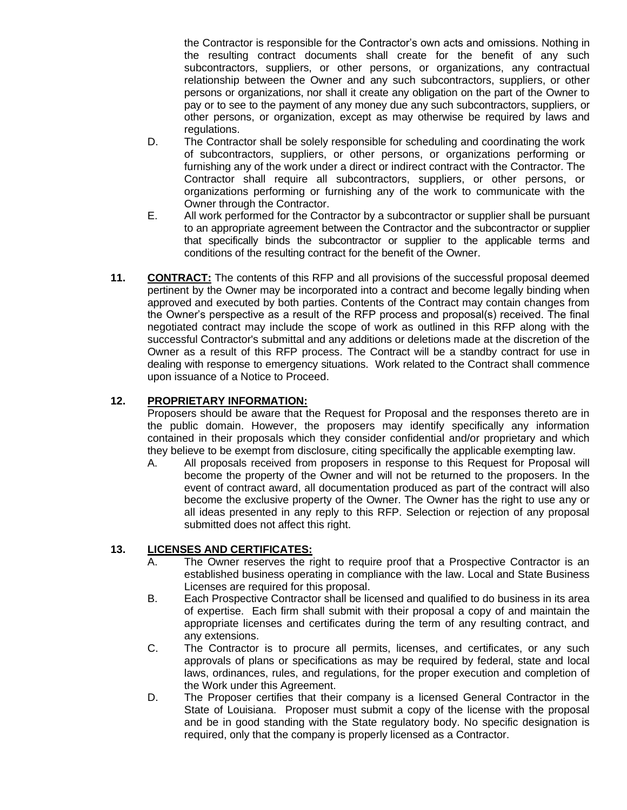the Contractor is responsible for the Contractor's own acts and omissions. Nothing in the resulting contract documents shall create for the benefit of any such subcontractors, suppliers, or other persons, or organizations, any contractual relationship between the Owner and any such subcontractors, suppliers, or other persons or organizations, nor shall it create any obligation on the part of the Owner to pay or to see to the payment of any money due any such subcontractors, suppliers, or other persons, or organization, except as may otherwise be required by laws and regulations.

- D. The Contractor shall be solely responsible for scheduling and coordinating the work of subcontractors, suppliers, or other persons, or organizations performing or furnishing any of the work under a direct or indirect contract with the Contractor. The Contractor shall require all subcontractors, suppliers, or other persons, or organizations performing or furnishing any of the work to communicate with the Owner through the Contractor.
- E. All work performed for the Contractor by a subcontractor or supplier shall be pursuant to an appropriate agreement between the Contractor and the subcontractor or supplier that specifically binds the subcontractor or supplier to the applicable terms and conditions of the resulting contract for the benefit of the Owner.
- **11. CONTRACT:** The contents of this RFP and all provisions of the successful proposal deemed pertinent by the Owner may be incorporated into a contract and become legally binding when approved and executed by both parties. Contents of the Contract may contain changes from the Owner's perspective as a result of the RFP process and proposal(s) received. The final negotiated contract may include the scope of work as outlined in this RFP along with the successful Contractor's submittal and any additions or deletions made at the discretion of the Owner as a result of this RFP process. The Contract will be a standby contract for use in dealing with response to emergency situations. Work related to the Contract shall commence upon issuance of a Notice to Proceed.

# **12. PROPRIETARY INFORMATION:**

Proposers should be aware that the Request for Proposal and the responses thereto are in the public domain. However, the proposers may identify specifically any information contained in their proposals which they consider confidential and/or proprietary and which they believe to be exempt from disclosure, citing specifically the applicable exempting law.

A. All proposals received from proposers in response to this Request for Proposal will become the property of the Owner and will not be returned to the proposers. In the event of contract award, all documentation produced as part of the contract will also become the exclusive property of the Owner. The Owner has the right to use any or all ideas presented in any reply to this RFP. Selection or rejection of any proposal submitted does not affect this right.

## **13. LICENSES AND CERTIFICATES:**

- A. The Owner reserves the right to require proof that a Prospective Contractor is an established business operating in compliance with the law. Local and State Business Licenses are required for this proposal.
- B. Each Prospective Contractor shall be licensed and qualified to do business in its area of expertise. Each firm shall submit with their proposal a copy of and maintain the appropriate licenses and certificates during the term of any resulting contract, and any extensions.
- C. The Contractor is to procure all permits, licenses, and certificates, or any such approvals of plans or specifications as may be required by federal, state and local laws, ordinances, rules, and regulations, for the proper execution and completion of the Work under this Agreement.
- D. The Proposer certifies that their company is a licensed General Contractor in the State of Louisiana. Proposer must submit a copy of the license with the proposal and be in good standing with the State regulatory body. No specific designation is required, only that the company is properly licensed as a Contractor.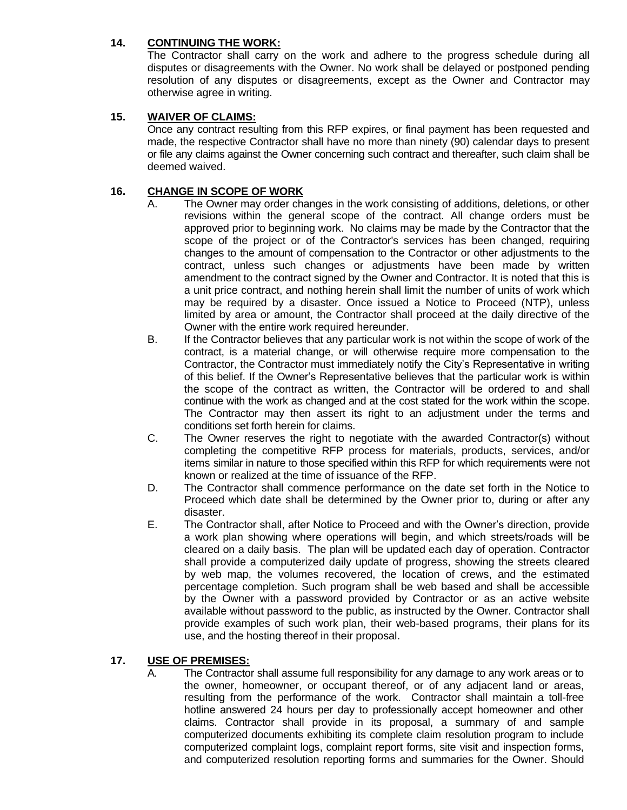## **14. CONTINUING THE WORK:**

The Contractor shall carry on the work and adhere to the progress schedule during all disputes or disagreements with the Owner. No work shall be delayed or postponed pending resolution of any disputes or disagreements, except as the Owner and Contractor may otherwise agree in writing.

## **15. WAIVER OF CLAIMS:**

Once any contract resulting from this RFP expires, or final payment has been requested and made, the respective Contractor shall have no more than ninety (90) calendar days to present or file any claims against the Owner concerning such contract and thereafter, such claim shall be deemed waived.

## **16. CHANGE IN SCOPE OF WORK**

- A. The Owner may order changes in the work consisting of additions, deletions, or other revisions within the general scope of the contract. All change orders must be approved prior to beginning work. No claims may be made by the Contractor that the scope of the project or of the Contractor's services has been changed, requiring changes to the amount of compensation to the Contractor or other adjustments to the contract, unless such changes or adjustments have been made by written amendment to the contract signed by the Owner and Contractor. It is noted that this is a unit price contract, and nothing herein shall limit the number of units of work which may be required by a disaster. Once issued a Notice to Proceed (NTP), unless limited by area or amount, the Contractor shall proceed at the daily directive of the Owner with the entire work required hereunder.
- B. If the Contractor believes that any particular work is not within the scope of work of the contract, is a material change, or will otherwise require more compensation to the Contractor, the Contractor must immediately notify the City's Representative in writing of this belief. If the Owner's Representative believes that the particular work is within the scope of the contract as written, the Contractor will be ordered to and shall continue with the work as changed and at the cost stated for the work within the scope. The Contractor may then assert its right to an adjustment under the terms and conditions set forth herein for claims.
- C. The Owner reserves the right to negotiate with the awarded Contractor(s) without completing the competitive RFP process for materials, products, services, and/or items similar in nature to those specified within this RFP for which requirements were not known or realized at the time of issuance of the RFP.
- D. The Contractor shall commence performance on the date set forth in the Notice to Proceed which date shall be determined by the Owner prior to, during or after any disaster.
- E. The Contractor shall, after Notice to Proceed and with the Owner's direction, provide a work plan showing where operations will begin, and which streets/roads will be cleared on a daily basis. The plan will be updated each day of operation. Contractor shall provide a computerized daily update of progress, showing the streets cleared by web map, the volumes recovered, the location of crews, and the estimated percentage completion. Such program shall be web based and shall be accessible by the Owner with a password provided by Contractor or as an active website available without password to the public, as instructed by the Owner. Contractor shall provide examples of such work plan, their web-based programs, their plans for its use, and the hosting thereof in their proposal.

## **17. USE OF PREMISES:**

A. The Contractor shall assume full responsibility for any damage to any work areas or to the owner, homeowner, or occupant thereof, or of any adjacent land or areas, resulting from the performance of the work. Contractor shall maintain a toll-free hotline answered 24 hours per day to professionally accept homeowner and other claims. Contractor shall provide in its proposal, a summary of and sample computerized documents exhibiting its complete claim resolution program to include computerized complaint logs, complaint report forms, site visit and inspection forms, and computerized resolution reporting forms and summaries for the Owner. Should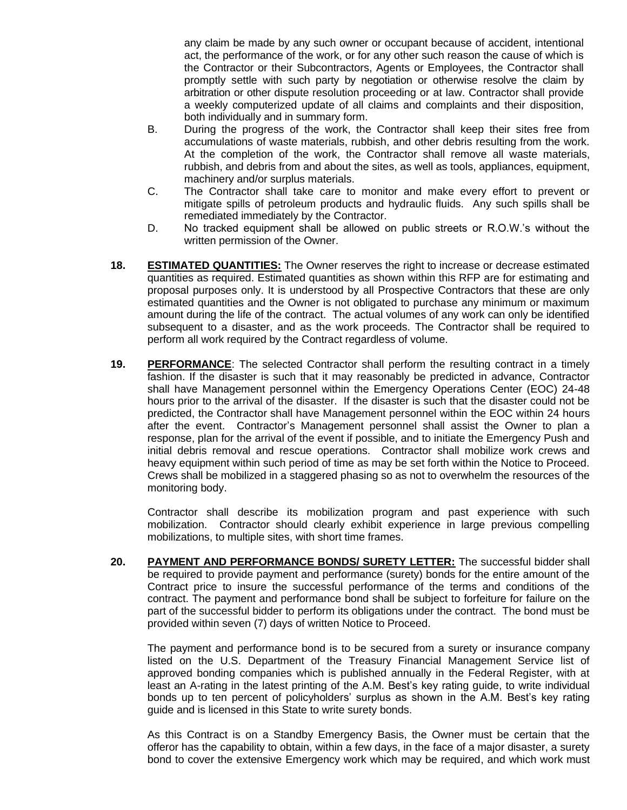any claim be made by any such owner or occupant because of accident, intentional act, the performance of the work, or for any other such reason the cause of which is the Contractor or their Subcontractors, Agents or Employees, the Contractor shall promptly settle with such party by negotiation or otherwise resolve the claim by arbitration or other dispute resolution proceeding or at law. Contractor shall provide a weekly computerized update of all claims and complaints and their disposition, both individually and in summary form.

- B. During the progress of the work, the Contractor shall keep their sites free from accumulations of waste materials, rubbish, and other debris resulting from the work. At the completion of the work, the Contractor shall remove all waste materials, rubbish, and debris from and about the sites, as well as tools, appliances, equipment, machinery and/or surplus materials.
- C. The Contractor shall take care to monitor and make every effort to prevent or mitigate spills of petroleum products and hydraulic fluids. Any such spills shall be remediated immediately by the Contractor.
- D. No tracked equipment shall be allowed on public streets or R.O.W.'s without the written permission of the Owner.
- **18. ESTIMATED QUANTITIES:** The Owner reserves the right to increase or decrease estimated quantities as required. Estimated quantities as shown within this RFP are for estimating and proposal purposes only. It is understood by all Prospective Contractors that these are only estimated quantities and the Owner is not obligated to purchase any minimum or maximum amount during the life of the contract. The actual volumes of any work can only be identified subsequent to a disaster, and as the work proceeds. The Contractor shall be required to perform all work required by the Contract regardless of volume.
- **19. PERFORMANCE**: The selected Contractor shall perform the resulting contract in a timely fashion. If the disaster is such that it may reasonably be predicted in advance, Contractor shall have Management personnel within the Emergency Operations Center (EOC) 24-48 hours prior to the arrival of the disaster. If the disaster is such that the disaster could not be predicted, the Contractor shall have Management personnel within the EOC within 24 hours after the event. Contractor's Management personnel shall assist the Owner to plan a response, plan for the arrival of the event if possible, and to initiate the Emergency Push and initial debris removal and rescue operations. Contractor shall mobilize work crews and heavy equipment within such period of time as may be set forth within the Notice to Proceed. Crews shall be mobilized in a staggered phasing so as not to overwhelm the resources of the monitoring body.

Contractor shall describe its mobilization program and past experience with such mobilization. Contractor should clearly exhibit experience in large previous compelling mobilizations, to multiple sites, with short time frames.

**20. PAYMENT AND PERFORMANCE BONDS/ SURETY LETTER:** The successful bidder shall be required to provide payment and performance (surety) bonds for the entire amount of the Contract price to insure the successful performance of the terms and conditions of the contract. The payment and performance bond shall be subject to forfeiture for failure on the part of the successful bidder to perform its obligations under the contract. The bond must be provided within seven (7) days of written Notice to Proceed.

The payment and performance bond is to be secured from a surety or insurance company listed on the U.S. Department of the Treasury Financial Management Service list of approved bonding companies which is published annually in the Federal Register, with at least an A-rating in the latest printing of the A.M. Best's key rating guide, to write individual bonds up to ten percent of policyholders' surplus as shown in the A.M. Best's key rating guide and is licensed in this State to write surety bonds.

As this Contract is on a Standby Emergency Basis, the Owner must be certain that the offeror has the capability to obtain, within a few days, in the face of a major disaster, a surety bond to cover the extensive Emergency work which may be required, and which work must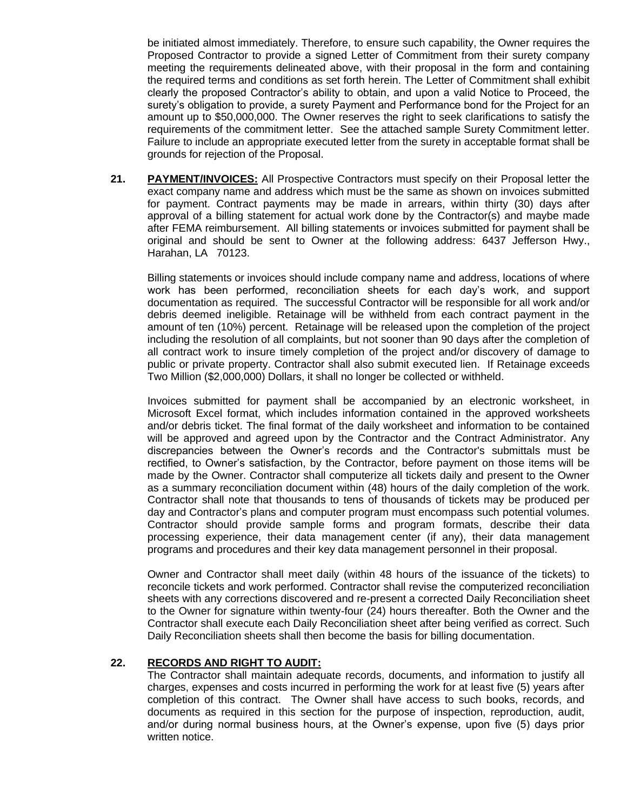be initiated almost immediately. Therefore, to ensure such capability, the Owner requires the Proposed Contractor to provide a signed Letter of Commitment from their surety company meeting the requirements delineated above, with their proposal in the form and containing the required terms and conditions as set forth herein. The Letter of Commitment shall exhibit clearly the proposed Contractor's ability to obtain, and upon a valid Notice to Proceed, the surety's obligation to provide, a surety Payment and Performance bond for the Project for an amount up to \$50,000,000. The Owner reserves the right to seek clarifications to satisfy the requirements of the commitment letter. See the attached sample Surety Commitment letter. Failure to include an appropriate executed letter from the surety in acceptable format shall be grounds for rejection of the Proposal.

**21. PAYMENT/INVOICES:** All Prospective Contractors must specify on their Proposal letter the exact company name and address which must be the same as shown on invoices submitted for payment. Contract payments may be made in arrears, within thirty (30) days after approval of a billing statement for actual work done by the Contractor(s) and maybe made after FEMA reimbursement. All billing statements or invoices submitted for payment shall be original and should be sent to Owner at the following address: 6437 Jefferson Hwy., Harahan, LA 70123.

Billing statements or invoices should include company name and address, locations of where work has been performed, reconciliation sheets for each day's work, and support documentation as required. The successful Contractor will be responsible for all work and/or debris deemed ineligible. Retainage will be withheld from each contract payment in the amount of ten (10%) percent. Retainage will be released upon the completion of the project including the resolution of all complaints, but not sooner than 90 days after the completion of all contract work to insure timely completion of the project and/or discovery of damage to public or private property. Contractor shall also submit executed lien. If Retainage exceeds Two Million (\$2,000,000) Dollars, it shall no longer be collected or withheld.

Invoices submitted for payment shall be accompanied by an electronic worksheet, in Microsoft Excel format, which includes information contained in the approved worksheets and/or debris ticket. The final format of the daily worksheet and information to be contained will be approved and agreed upon by the Contractor and the Contract Administrator. Any discrepancies between the Owner's records and the Contractor's submittals must be rectified, to Owner's satisfaction, by the Contractor, before payment on those items will be made by the Owner. Contractor shall computerize all tickets daily and present to the Owner as a summary reconciliation document within (48) hours of the daily completion of the work. Contractor shall note that thousands to tens of thousands of tickets may be produced per day and Contractor's plans and computer program must encompass such potential volumes. Contractor should provide sample forms and program formats, describe their data processing experience, their data management center (if any), their data management programs and procedures and their key data management personnel in their proposal.

Owner and Contractor shall meet daily (within 48 hours of the issuance of the tickets) to reconcile tickets and work performed. Contractor shall revise the computerized reconciliation sheets with any corrections discovered and re-present a corrected Daily Reconciliation sheet to the Owner for signature within twenty-four (24) hours thereafter. Both the Owner and the Contractor shall execute each Daily Reconciliation sheet after being verified as correct. Such Daily Reconciliation sheets shall then become the basis for billing documentation.

## **22. RECORDS AND RIGHT TO AUDIT:**

The Contractor shall maintain adequate records, documents, and information to justify all charges, expenses and costs incurred in performing the work for at least five (5) years after completion of this contract. The Owner shall have access to such books, records, and documents as required in this section for the purpose of inspection, reproduction, audit, and/or during normal business hours, at the Owner's expense, upon five (5) days prior written notice.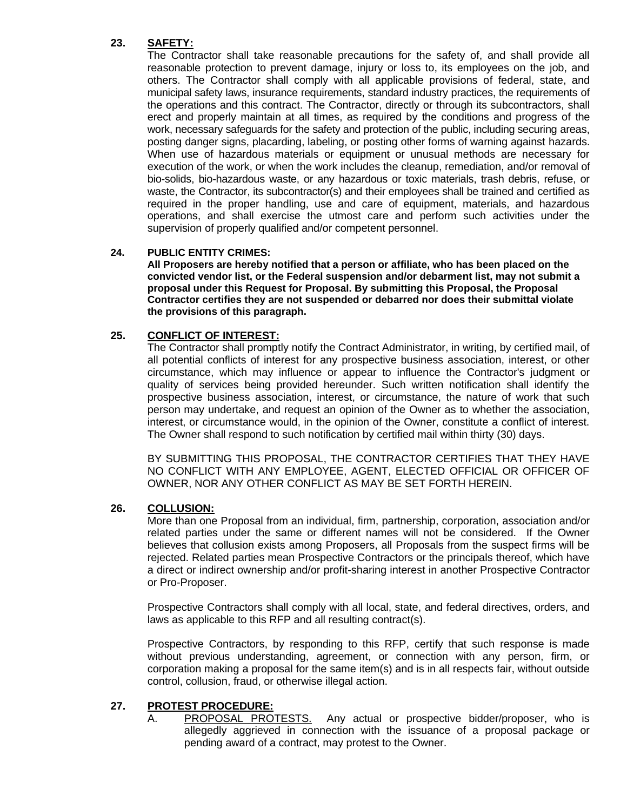## **23. SAFETY:**

The Contractor shall take reasonable precautions for the safety of, and shall provide all reasonable protection to prevent damage, injury or loss to, its employees on the job, and others. The Contractor shall comply with all applicable provisions of federal, state, and municipal safety laws, insurance requirements, standard industry practices, the requirements of the operations and this contract. The Contractor, directly or through its subcontractors, shall erect and properly maintain at all times, as required by the conditions and progress of the work, necessary safeguards for the safety and protection of the public, including securing areas, posting danger signs, placarding, labeling, or posting other forms of warning against hazards. When use of hazardous materials or equipment or unusual methods are necessary for execution of the work, or when the work includes the cleanup, remediation, and/or removal of bio-solids, bio-hazardous waste, or any hazardous or toxic materials, trash debris, refuse, or waste, the Contractor, its subcontractor(s) and their employees shall be trained and certified as required in the proper handling, use and care of equipment, materials, and hazardous operations, and shall exercise the utmost care and perform such activities under the supervision of properly qualified and/or competent personnel.

## **24. PUBLIC ENTITY CRIMES:**

**All Proposers are hereby notified that a person or affiliate, who has been placed on the convicted vendor list, or the Federal suspension and/or debarment list, may not submit a proposal under this Request for Proposal. By submitting this Proposal, the Proposal Contractor certifies they are not suspended or debarred nor does their submittal violate the provisions of this paragraph.**

## **25. CONFLICT OF INTEREST:**

The Contractor shall promptly notify the Contract Administrator, in writing, by certified mail, of all potential conflicts of interest for any prospective business association, interest, or other circumstance, which may influence or appear to influence the Contractor's judgment or quality of services being provided hereunder. Such written notification shall identify the prospective business association, interest, or circumstance, the nature of work that such person may undertake, and request an opinion of the Owner as to whether the association, interest, or circumstance would, in the opinion of the Owner, constitute a conflict of interest. The Owner shall respond to such notification by certified mail within thirty (30) days.

BY SUBMITTING THIS PROPOSAL, THE CONTRACTOR CERTIFIES THAT THEY HAVE NO CONFLICT WITH ANY EMPLOYEE, AGENT, ELECTED OFFICIAL OR OFFICER OF OWNER, NOR ANY OTHER CONFLICT AS MAY BE SET FORTH HEREIN.

## **26. COLLUSION:**

More than one Proposal from an individual, firm, partnership, corporation, association and/or related parties under the same or different names will not be considered. If the Owner believes that collusion exists among Proposers, all Proposals from the suspect firms will be rejected. Related parties mean Prospective Contractors or the principals thereof, which have a direct or indirect ownership and/or profit-sharing interest in another Prospective Contractor or Pro-Proposer.

Prospective Contractors shall comply with all local, state, and federal directives, orders, and laws as applicable to this RFP and all resulting contract(s).

Prospective Contractors, by responding to this RFP, certify that such response is made without previous understanding, agreement, or connection with any person, firm, or corporation making a proposal for the same item(s) and is in all respects fair, without outside control, collusion, fraud, or otherwise illegal action.

## **27. PROTEST PROCEDURE:**

A. PROPOSAL PROTESTS. Any actual or prospective bidder/proposer, who is allegedly aggrieved in connection with the issuance of a proposal package or pending award of a contract, may protest to the Owner.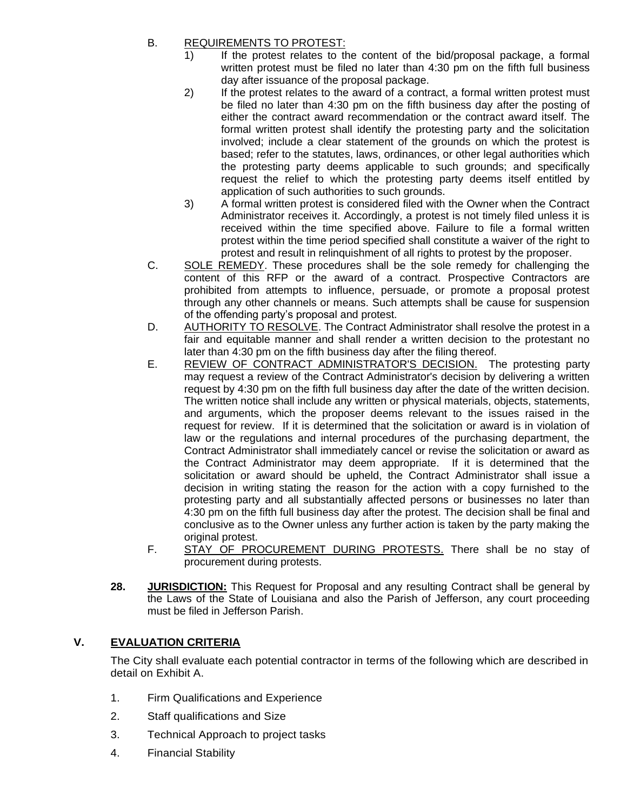# B. REQUIREMENTS TO PROTEST:

- 1) If the protest relates to the content of the bid/proposal package, a formal written protest must be filed no later than 4:30 pm on the fifth full business day after issuance of the proposal package.
- 2) If the protest relates to the award of a contract, a formal written protest must be filed no later than 4:30 pm on the fifth business day after the posting of either the contract award recommendation or the contract award itself. The formal written protest shall identify the protesting party and the solicitation involved; include a clear statement of the grounds on which the protest is based; refer to the statutes, laws, ordinances, or other legal authorities which the protesting party deems applicable to such grounds; and specifically request the relief to which the protesting party deems itself entitled by application of such authorities to such grounds.
- 3) A formal written protest is considered filed with the Owner when the Contract Administrator receives it. Accordingly, a protest is not timely filed unless it is received within the time specified above. Failure to file a formal written protest within the time period specified shall constitute a waiver of the right to protest and result in relinquishment of all rights to protest by the proposer.
- C. SOLE REMEDY. These procedures shall be the sole remedy for challenging the content of this RFP or the award of a contract. Prospective Contractors are prohibited from attempts to influence, persuade, or promote a proposal protest through any other channels or means. Such attempts shall be cause for suspension of the offending party's proposal and protest.
- D. AUTHORITY TO RESOLVE. The Contract Administrator shall resolve the protest in a fair and equitable manner and shall render a written decision to the protestant no later than 4:30 pm on the fifth business day after the filing thereof.
- E. REVIEW OF CONTRACT ADMINISTRATOR'S DECISION. The protesting party may request a review of the Contract Administrator's decision by delivering a written request by 4:30 pm on the fifth full business day after the date of the written decision. The written notice shall include any written or physical materials, objects, statements, and arguments, which the proposer deems relevant to the issues raised in the request for review. If it is determined that the solicitation or award is in violation of law or the regulations and internal procedures of the purchasing department, the Contract Administrator shall immediately cancel or revise the solicitation or award as the Contract Administrator may deem appropriate. If it is determined that the solicitation or award should be upheld, the Contract Administrator shall issue a decision in writing stating the reason for the action with a copy furnished to the protesting party and all substantially affected persons or businesses no later than 4:30 pm on the fifth full business day after the protest. The decision shall be final and conclusive as to the Owner unless any further action is taken by the party making the original protest.
- F. STAY OF PROCUREMENT DURING PROTESTS. There shall be no stay of procurement during protests.
- **28. JURISDICTION:** This Request for Proposal and any resulting Contract shall be general by the Laws of the State of Louisiana and also the Parish of Jefferson, any court proceeding must be filed in Jefferson Parish.

# **V. EVALUATION CRITERIA**

The City shall evaluate each potential contractor in terms of the following which are described in detail on Exhibit A.

- 1. Firm Qualifications and Experience
- 2. Staff qualifications and Size
- 3. Technical Approach to project tasks
- 4. Financial Stability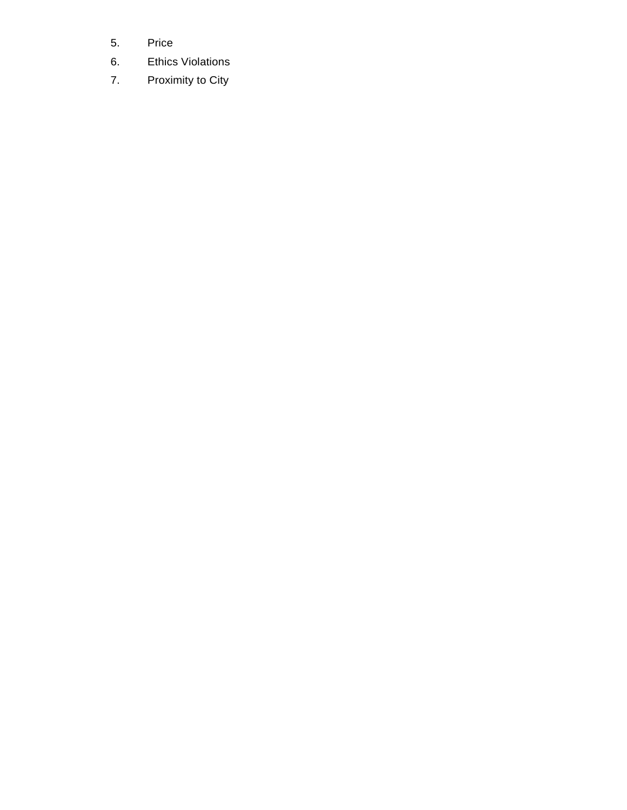- 5. Price
- 6. Ethics Violations
- 7. Proximity to City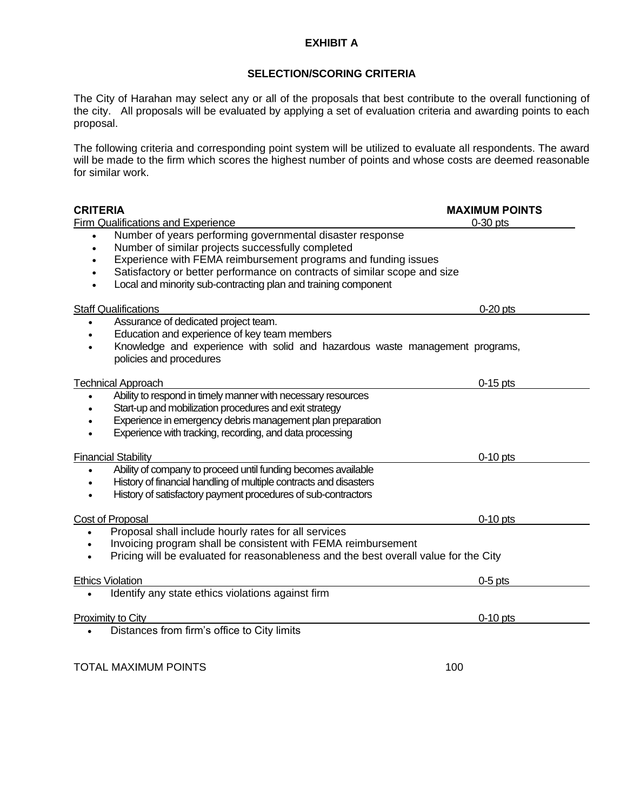## **EXHIBIT A**

## **SELECTION/SCORING CRITERIA**

The City of Harahan may select any or all of the proposals that best contribute to the overall functioning of the city. All proposals will be evaluated by applying a set of evaluation criteria and awarding points to each proposal.

The following criteria and corresponding point system will be utilized to evaluate all respondents. The award will be made to the firm which scores the highest number of points and whose costs are deemed reasonable for similar work.

| <b>CRITERIA</b>                                                                      | <b>MAXIMUM POINTS</b> |
|--------------------------------------------------------------------------------------|-----------------------|
| Firm Qualifications and Experience                                                   | $0-30$ pts            |
| Number of years performing governmental disaster response                            |                       |
| Number of similar projects successfully completed                                    |                       |
| Experience with FEMA reimbursement programs and funding issues                       |                       |
| Satisfactory or better performance on contracts of similar scope and size            |                       |
| Local and minority sub-contracting plan and training component                       |                       |
| <b>Staff Qualifications</b>                                                          | $0-20$ pts            |
| Assurance of dedicated project team.                                                 |                       |
| Education and experience of key team members                                         |                       |
| Knowledge and experience with solid and hazardous waste management programs,         |                       |
| policies and procedures                                                              |                       |
| <b>Technical Approach</b>                                                            | $0-15$ pts            |
| Ability to respond in timely manner with necessary resources                         |                       |
| Start-up and mobilization procedures and exit strategy                               |                       |
| Experience in emergency debris management plan preparation                           |                       |
| Experience with tracking, recording, and data processing                             |                       |
| <b>Financial Stability</b>                                                           | $0-10$ pts            |
| Ability of company to proceed until funding becomes available                        |                       |
| History of financial handling of multiple contracts and disasters                    |                       |
| History of satisfactory payment procedures of sub-contractors                        |                       |
|                                                                                      |                       |
| Cost of Proposal                                                                     | $0-10$ pts            |
| Proposal shall include hourly rates for all services<br>$\bullet$                    |                       |
| Invoicing program shall be consistent with FEMA reimbursement<br>$\bullet$           |                       |
| Pricing will be evaluated for reasonableness and the best overall value for the City |                       |
| <b>Ethics Violation</b>                                                              | $0-5$ pts             |
| Identify any state ethics violations against firm<br>$\bullet$                       |                       |
| Proximity to City                                                                    | $0-10$ pts            |
| Distances from firm's office to City limits                                          |                       |
|                                                                                      |                       |
| <b>TOTAL MAXIMUM POINTS</b>                                                          | 100                   |
|                                                                                      |                       |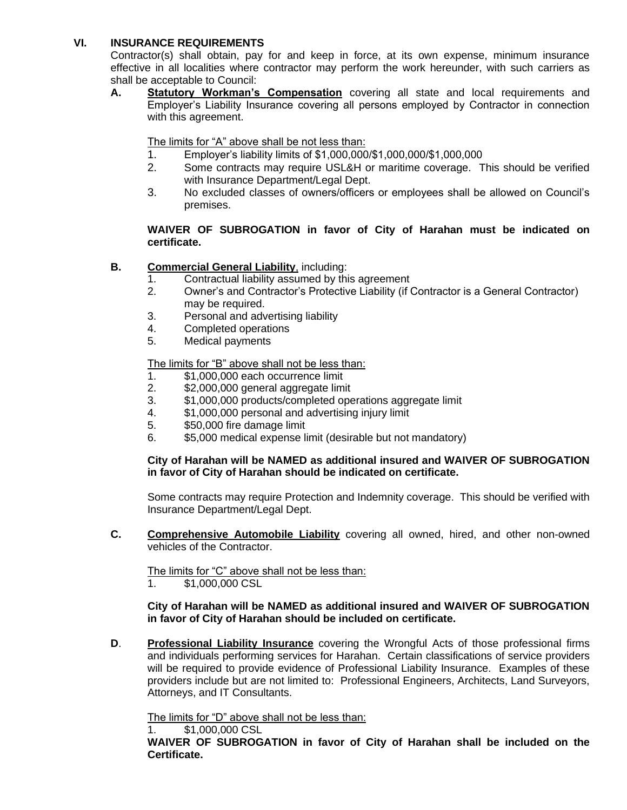## **VI. INSURANCE REQUIREMENTS**

Contractor(s) shall obtain, pay for and keep in force, at its own expense, minimum insurance effective in all localities where contractor may perform the work hereunder, with such carriers as shall be acceptable to Council:

**A. Statutory Workman's Compensation** covering all state and local requirements and Employer's Liability Insurance covering all persons employed by Contractor in connection with this agreement.

The limits for "A" above shall be not less than:

- 1. Employer's liability limits of \$1,000,000/\$1,000,000/\$1,000,000
- 2. Some contracts may require USL&H or maritime coverage. This should be verified with Insurance Department/Legal Dept.
- 3. No excluded classes of owners/officers or employees shall be allowed on Council's premises.

## **WAIVER OF SUBROGATION in favor of City of Harahan must be indicated on certificate.**

## **B. Commercial General Liability**, including:

- 1. Contractual liability assumed by this agreement
- 2. Owner's and Contractor's Protective Liability (if Contractor is a General Contractor) may be required.
- 3. Personal and advertising liability
- 4. Completed operations
- 5. Medical payments

The limits for "B" above shall not be less than:

- 1. \$1,000,000 each occurrence limit
- 2. \$2,000,000 general aggregate limit
- 3. \$1,000,000 products/completed operations aggregate limit
- 4. \$1,000,000 personal and advertising injury limit
- 5. \$50,000 fire damage limit
- 6. \$5,000 medical expense limit (desirable but not mandatory)

## **City of Harahan will be NAMED as additional insured and WAIVER OF SUBROGATION in favor of City of Harahan should be indicated on certificate.**

Some contracts may require Protection and Indemnity coverage. This should be verified with Insurance Department/Legal Dept.

**C. Comprehensive Automobile Liability** covering all owned, hired, and other non-owned vehicles of the Contractor.

The limits for "C" above shall not be less than:

1. \$1,000,000 CSL

#### **City of Harahan will be NAMED as additional insured and WAIVER OF SUBROGATION in favor of City of Harahan should be included on certificate.**

**D**. **Professional Liability Insurance** covering the Wrongful Acts of those professional firms and individuals performing services for Harahan. Certain classifications of service providers will be required to provide evidence of Professional Liability Insurance. Examples of these providers include but are not limited to: Professional Engineers, Architects, Land Surveyors, Attorneys, and IT Consultants.

The limits for "D" above shall not be less than:

1. \$1,000,000 CSL

**WAIVER OF SUBROGATION in favor of City of Harahan shall be included on the Certificate.**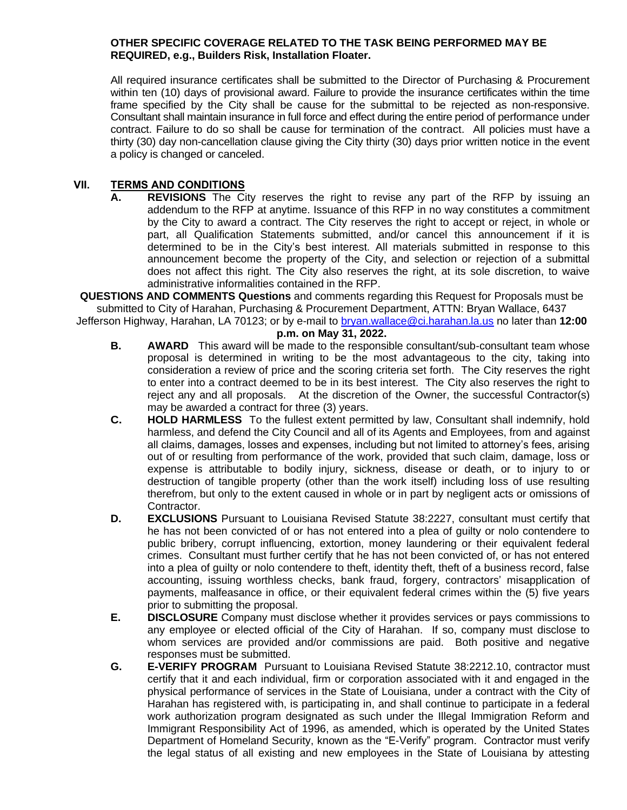#### **OTHER SPECIFIC COVERAGE RELATED TO THE TASK BEING PERFORMED MAY BE REQUIRED, e.g., Builders Risk, Installation Floater.**

All required insurance certificates shall be submitted to the Director of Purchasing & Procurement within ten (10) days of provisional award. Failure to provide the insurance certificates within the time frame specified by the City shall be cause for the submittal to be rejected as non-responsive. Consultant shall maintain insurance in full force and effect during the entire period of performance under contract. Failure to do so shall be cause for termination of the contract. All policies must have a thirty (30) day non-cancellation clause giving the City thirty (30) days prior written notice in the event a policy is changed or canceled.

## **VII. TERMS AND CONDITIONS**

**A. REVISIONS** The City reserves the right to revise any part of the RFP by issuing an addendum to the RFP at anytime. Issuance of this RFP in no way constitutes a commitment by the City to award a contract. The City reserves the right to accept or reject, in whole or part, all Qualification Statements submitted, and/or cancel this announcement if it is determined to be in the City's best interest. All materials submitted in response to this announcement become the property of the City, and selection or rejection of a submittal does not affect this right. The City also reserves the right, at its sole discretion, to waive administrative informalities contained in the RFP.

**QUESTIONS AND COMMENTS Questions** and comments regarding this Request for Proposals must be submitted to City of Harahan, Purchasing & Procurement Department, ATTN: Bryan Wallace, 6437

Jefferson Highway, Harahan, LA 70123; or by e-mail to bryan.wallace@ci.harahan.la.us no later than **12:00 p.m. on May 31, 2022.**

- **B. AWARD** This award will be made to the responsible consultant/sub-consultant team whose proposal is determined in writing to be the most advantageous to the city, taking into consideration a review of price and the scoring criteria set forth. The City reserves the right to enter into a contract deemed to be in its best interest. The City also reserves the right to reject any and all proposals. At the discretion of the Owner, the successful Contractor(s) may be awarded a contract for three (3) years.
- **C. HOLD HARMLESS** To the fullest extent permitted by law, Consultant shall indemnify, hold harmless, and defend the City Council and all of its Agents and Employees, from and against all claims, damages, losses and expenses, including but not limited to attorney's fees, arising out of or resulting from performance of the work, provided that such claim, damage, loss or expense is attributable to bodily injury, sickness, disease or death, or to injury to or destruction of tangible property (other than the work itself) including loss of use resulting therefrom, but only to the extent caused in whole or in part by negligent acts or omissions of Contractor.
- **D. EXCLUSIONS** Pursuant to Louisiana Revised Statute 38:2227, consultant must certify that he has not been convicted of or has not entered into a plea of guilty or nolo contendere to public bribery, corrupt influencing, extortion, money laundering or their equivalent federal crimes. Consultant must further certify that he has not been convicted of, or has not entered into a plea of guilty or nolo contendere to theft, identity theft, theft of a business record, false accounting, issuing worthless checks, bank fraud, forgery, contractors' misapplication of payments, malfeasance in office, or their equivalent federal crimes within the (5) five years prior to submitting the proposal.
- **E. DISCLOSURE** Company must disclose whether it provides services or pays commissions to any employee or elected official of the City of Harahan. If so, company must disclose to whom services are provided and/or commissions are paid. Both positive and negative responses must be submitted.
- **G. E-VERIFY PROGRAM** Pursuant to Louisiana Revised Statute 38:2212.10, contractor must certify that it and each individual, firm or corporation associated with it and engaged in the physical performance of services in the State of Louisiana, under a contract with the City of Harahan has registered with, is participating in, and shall continue to participate in a federal work authorization program designated as such under the Illegal Immigration Reform and Immigrant Responsibility Act of 1996, as amended, which is operated by the United States Department of Homeland Security, known as the "E-Verify" program. Contractor must verify the legal status of all existing and new employees in the State of Louisiana by attesting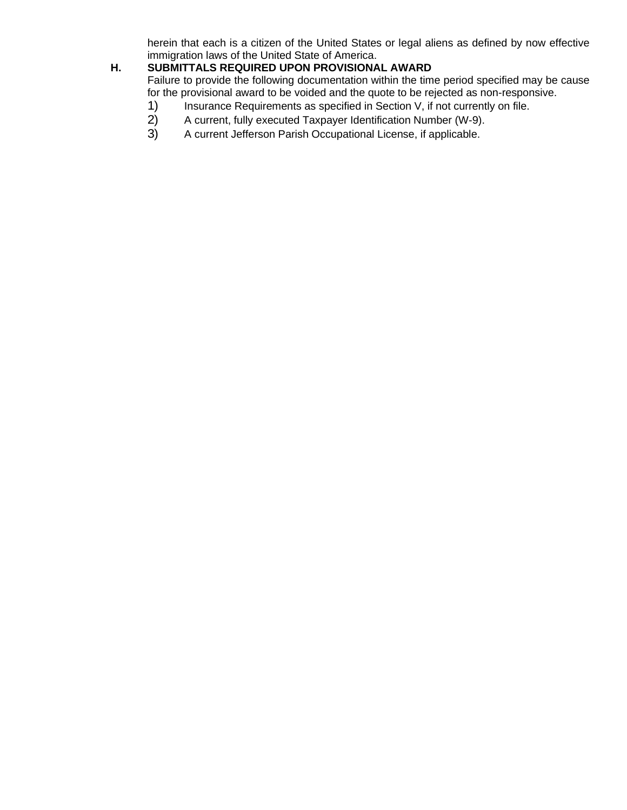herein that each is a citizen of the United States or legal aliens as defined by now effective immigration laws of the United State of America.

# **H. SUBMITTALS REQUIRED UPON PROVISIONAL AWARD**

Failure to provide the following documentation within the time period specified may be cause for the provisional award to be voided and the quote to be rejected as non-responsive.

- 1) Insurance Requirements as specified in Section V, if not currently on file.<br>2) A current, fully executed Taxpayer Identification Number (W-9).
- 2) A current, fully executed Taxpayer Identification Number (W-9).
- 3) A current Jefferson Parish Occupational License, if applicable.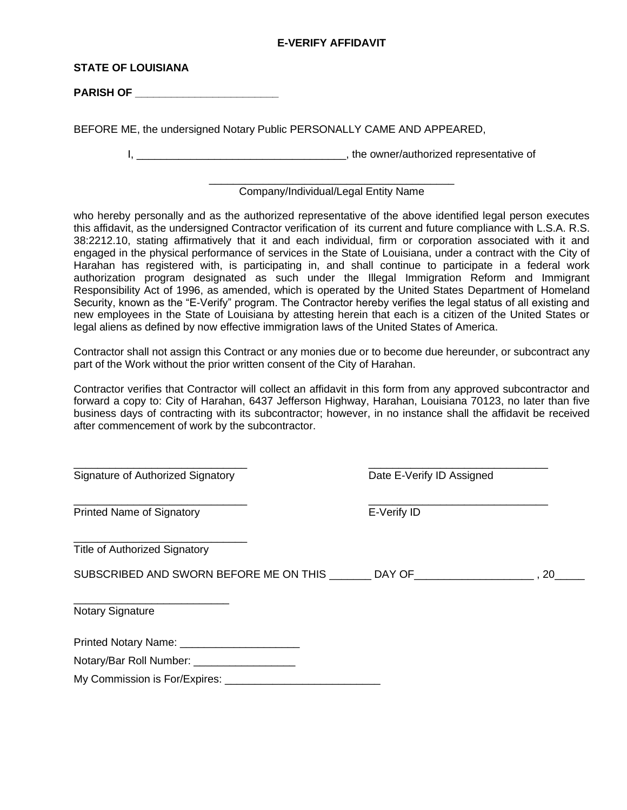## **E-VERIFY AFFIDAVIT**

#### **STATE OF LOUISIANA**

**PARISH OF \_\_\_\_\_\_\_\_\_\_\_\_\_\_\_\_\_\_\_\_\_\_\_\_**

BEFORE ME, the undersigned Notary Public PERSONALLY CAME AND APPEARED,

I, \_\_\_\_\_\_\_\_\_\_\_\_\_\_\_\_\_\_\_\_\_\_\_\_\_\_\_\_\_\_\_\_\_\_\_, the owner/authorized representative of

#### \_\_\_\_\_\_\_\_\_\_\_\_\_\_\_\_\_\_\_\_\_\_\_\_\_\_\_\_\_\_\_\_\_\_\_\_\_\_\_\_\_ Company/Individual/Legal Entity Name

who hereby personally and as the authorized representative of the above identified legal person executes this affidavit, as the undersigned Contractor verification of its current and future compliance with L.S.A. R.S. 38:2212.10, stating affirmatively that it and each individual, firm or corporation associated with it and engaged in the physical performance of services in the State of Louisiana, under a contract with the City of Harahan has registered with, is participating in, and shall continue to participate in a federal work authorization program designated as such under the Illegal Immigration Reform and Immigrant Responsibility Act of 1996, as amended, which is operated by the United States Department of Homeland Security, known as the "E-Verify" program. The Contractor hereby verifies the legal status of all existing and new employees in the State of Louisiana by attesting herein that each is a citizen of the United States or legal aliens as defined by now effective immigration laws of the United States of America.

Contractor shall not assign this Contract or any monies due or to become due hereunder, or subcontract any part of the Work without the prior written consent of the City of Harahan.

Contractor verifies that Contractor will collect an affidavit in this form from any approved subcontractor and forward a copy to: City of Harahan, 6437 Jefferson Highway, Harahan, Louisiana 70123, no later than five business days of contracting with its subcontractor; however, in no instance shall the affidavit be received after commencement of work by the subcontractor.

| Signature of Authorized Signatory             | Date E-Verify ID Assigned |     |
|-----------------------------------------------|---------------------------|-----|
| <b>Printed Name of Signatory</b>              | E-Verify ID               |     |
| <b>Title of Authorized Signatory</b>          |                           |     |
| SUBSCRIBED AND SWORN BEFORE ME ON THIS DAY OF |                           | ,20 |
| <b>Notary Signature</b>                       |                           |     |
| Printed Notary Name: _______________________  |                           |     |
| Notary/Bar Roll Number: ____________________  |                           |     |
| My Commission is For/Expires: _________       |                           |     |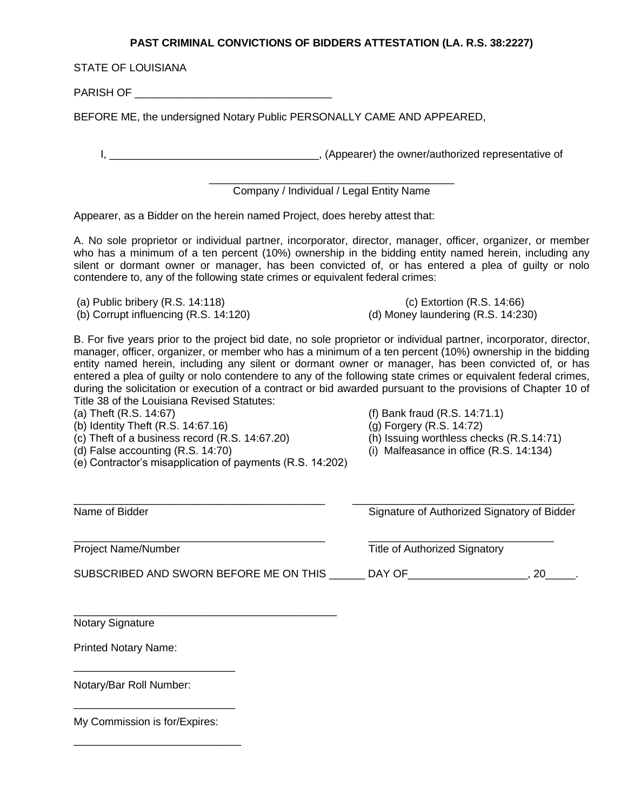## **PAST CRIMINAL CONVICTIONS OF BIDDERS ATTESTATION (LA. R.S. 38:2227)**

STATE OF LOUISIANA

PARISH OF **EXECUTE A REPORT OF A REPORT OF A REPORT OF A REPORT OF A REPORT OF A REPORT OF A REPORT OF A REPORT OF A REPORT OF A REPORT OF A REPORT OF A REPORT OF A REPORT OF A REPORT OF A REPORT OF A REPORT OF A REPORT OF** 

BEFORE ME, the undersigned Notary Public PERSONALLY CAME AND APPEARED,

I, \_\_\_\_\_\_\_\_\_\_\_\_\_\_\_\_\_\_\_\_\_\_\_\_\_\_\_\_\_\_\_\_\_\_\_, (Appearer) the owner/authorized representative of

\_\_\_\_\_\_\_\_\_\_\_\_\_\_\_\_\_\_\_\_\_\_\_\_\_\_\_\_\_\_\_\_\_\_\_\_\_\_\_\_\_ Company / Individual / Legal Entity Name

Appearer, as a Bidder on the herein named Project, does hereby attest that:

A. No sole proprietor or individual partner, incorporator, director, manager, officer, organizer, or member who has a minimum of a ten percent (10%) ownership in the bidding entity named herein, including any silent or dormant owner or manager, has been convicted of, or has entered a plea of guilty or nolo contendere to, any of the following state crimes or equivalent federal crimes:

(a) Public bribery (R.S. 14:118) (c) Extortion (R.S. 14:66)

(b) Corrupt influencing (R.S. 14:120) (d) Money laundering (R.S. 14:230)

B. For five years prior to the project bid date, no sole proprietor or individual partner, incorporator, director, manager, officer, organizer, or member who has a minimum of a ten percent (10%) ownership in the bidding entity named herein, including any silent or dormant owner or manager, has been convicted of, or has entered a plea of guilty or nolo contendere to any of the following state crimes or equivalent federal crimes, during the solicitation or execution of a contract or bid awarded pursuant to the provisions of Chapter 10 of Title 38 of the Louisiana Revised Statutes:

(b) Identity Theft (R.S. 14:67.16) (g) Forgery (R.S. 14:72)

(c) Theft of a business record (R.S. 14:67.20) (h) Issuing worthless checks (R.S.14:71)

(e) Contractor's misapplication of payments (R.S. 14:202)

- (a) Theft (R.S. 14:67) (f) Bank fraud (R.S. 14:71.1)
	-
	-
- (d) False accounting (R.S. 14:70) (i) Malfeasance in office (R.S. 14:134)

| Name of Bidder                         | Signature of Authorized Signatory of Bidder<br><b>Title of Authorized Signatory</b> |           |
|----------------------------------------|-------------------------------------------------------------------------------------|-----------|
| <b>Project Name/Number</b>             |                                                                                     |           |
| SUBSCRIBED AND SWORN BEFORE ME ON THIS | DAY OF                                                                              | <b>20</b> |
| <b>Notary Signature</b>                |                                                                                     |           |

Printed Notary Name:

Notary/Bar Roll Number:

My Commission is for/Expires:

\_\_\_\_\_\_\_\_\_\_\_\_\_\_\_\_\_\_\_\_\_\_\_\_\_\_\_

\_\_\_\_\_\_\_\_\_\_\_\_\_\_\_\_\_\_\_\_\_\_\_\_\_\_\_

\_\_\_\_\_\_\_\_\_\_\_\_\_\_\_\_\_\_\_\_\_\_\_\_\_\_\_\_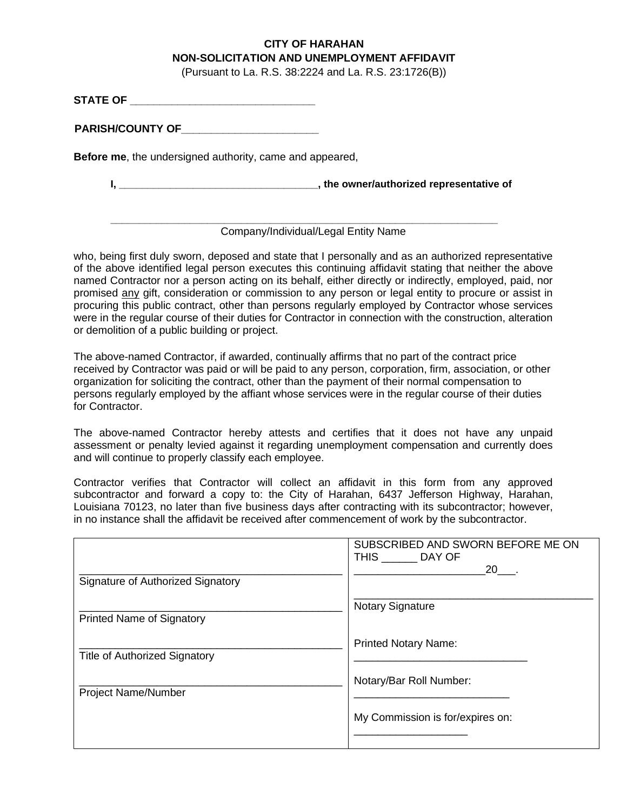# **CITY OF HARAHAN NON-SOLICITATION AND UNEMPLOYMENT AFFIDAVIT**

(Pursuant to La. R.S. 38:2224 and La. R.S. 23:1726(B))

**STATE OF \_\_\_\_\_\_\_\_\_\_\_\_\_\_\_\_\_\_\_\_\_\_\_\_\_\_\_\_\_\_\_**

**PARISH/COUNTY OF\_\_\_\_\_\_\_\_\_\_\_\_\_\_\_\_\_\_\_\_\_\_\_**

**Before me**, the undersigned authority, came and appeared,

**I, \_\_\_\_\_\_\_\_\_\_\_\_\_\_\_\_\_\_\_\_\_\_\_\_\_\_\_\_\_\_\_\_\_\_\_, the owner/authorized representative of**

## Company/Individual/Legal Entity Name

**\_\_\_\_\_\_\_\_\_\_\_\_\_\_\_\_\_\_\_\_\_\_\_\_\_\_\_\_\_\_\_\_\_\_\_\_\_\_\_\_\_\_\_\_\_\_\_\_\_\_\_\_\_\_\_\_\_\_\_\_\_\_\_\_\_\_\_\_**

who, being first duly sworn, deposed and state that I personally and as an authorized representative of the above identified legal person executes this continuing affidavit stating that neither the above named Contractor nor a person acting on its behalf, either directly or indirectly, employed, paid, nor promised any gift, consideration or commission to any person or legal entity to procure or assist in procuring this public contract, other than persons regularly employed by Contractor whose services were in the regular course of their duties for Contractor in connection with the construction, alteration or demolition of a public building or project.

The above-named Contractor, if awarded, continually affirms that no part of the contract price received by Contractor was paid or will be paid to any person, corporation, firm, association, or other organization for soliciting the contract, other than the payment of their normal compensation to persons regularly employed by the affiant whose services were in the regular course of their duties for Contractor.

The above-named Contractor hereby attests and certifies that it does not have any unpaid assessment or penalty levied against it regarding unemployment compensation and currently does and will continue to properly classify each employee.

Contractor verifies that Contractor will collect an affidavit in this form from any approved subcontractor and forward a copy to: the City of Harahan, 6437 Jefferson Highway, Harahan, Louisiana 70123, no later than five business days after contracting with its subcontractor; however, in no instance shall the affidavit be received after commencement of work by the subcontractor.

|                                      | SUBSCRIBED AND SWORN BEFORE ME ON<br>THIS DAY OF<br>$20$ . |
|--------------------------------------|------------------------------------------------------------|
| Signature of Authorized Signatory    |                                                            |
| <b>Printed Name of Signatory</b>     | <b>Notary Signature</b>                                    |
| <b>Title of Authorized Signatory</b> | <b>Printed Notary Name:</b>                                |
| <b>Project Name/Number</b>           | Notary/Bar Roll Number:                                    |
|                                      | My Commission is for/expires on:                           |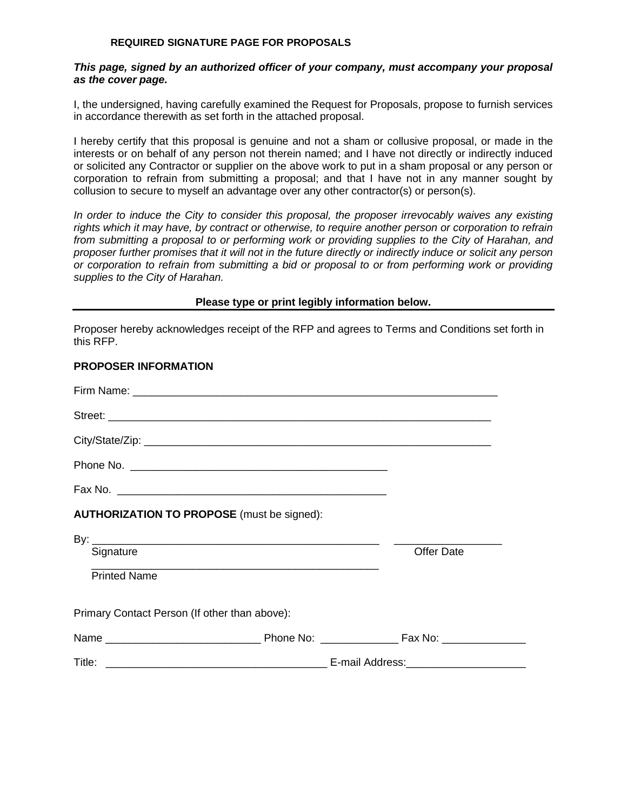#### **REQUIRED SIGNATURE PAGE FOR PROPOSALS**

#### *This page, signed by an authorized officer of your company, must accompany your proposal as the cover page.*

I, the undersigned, having carefully examined the Request for Proposals, propose to furnish services in accordance therewith as set forth in the attached proposal.

I hereby certify that this proposal is genuine and not a sham or collusive proposal, or made in the interests or on behalf of any person not therein named; and I have not directly or indirectly induced or solicited any Contractor or supplier on the above work to put in a sham proposal or any person or corporation to refrain from submitting a proposal; and that I have not in any manner sought by collusion to secure to myself an advantage over any other contractor(s) or person(s).

*In order to induce the City to consider this proposal, the proposer irrevocably waives any existing rights which it may have, by contract or otherwise, to require another person or corporation to refrain from submitting a proposal to or performing work or providing supplies to the City of Harahan, and proposer further promises that it will not in the future directly or indirectly induce or solicit any person or corporation to refrain from submitting a bid or proposal to or from performing work or providing supplies to the City of Harahan.*

#### **Please type or print legibly information below.**

Proposer hereby acknowledges receipt of the RFP and agrees to Terms and Conditions set forth in this RFP.

## **PROPOSER INFORMATION**

| <b>AUTHORIZATION TO PROPOSE</b> (must be signed): |            |
|---------------------------------------------------|------------|
|                                                   |            |
| Signature                                         | Offer Date |
| <b>Printed Name</b>                               |            |
| Primary Contact Person (If other than above):     |            |
|                                                   |            |
|                                                   |            |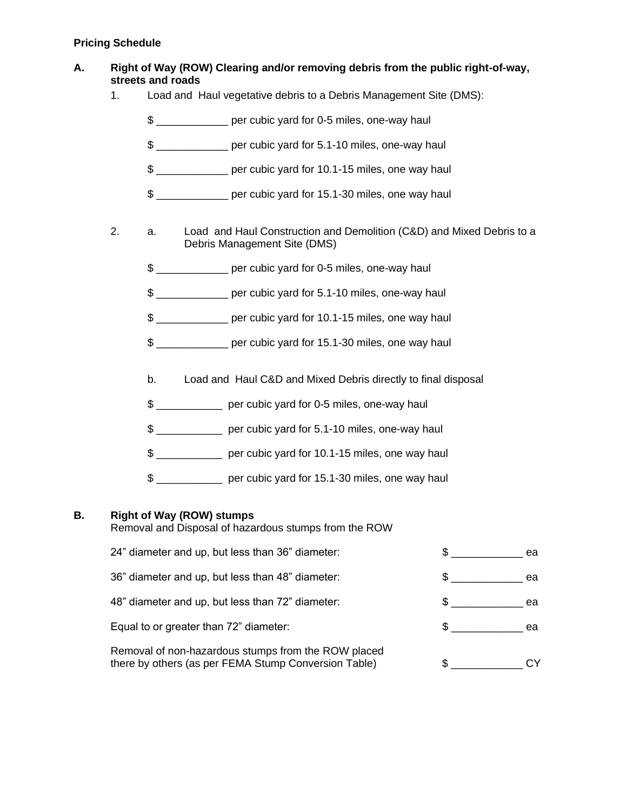## **Pricing Schedule**

## **A. Right of Way (ROW) Clearing and/or removing debris from the public right-of-way, streets and roads**

- 1. Load and Haul vegetative debris to a Debris Management Site (DMS):
	- \$ \_\_\_\_\_\_\_\_\_\_\_\_ per cubic yard for 0-5 miles, one-way haul
	- \$ \_\_\_\_\_\_\_\_\_\_\_\_ per cubic yard for 5.1-10 miles, one-way haul
	- \$ \_\_\_\_\_\_\_\_\_\_\_\_ per cubic yard for 10.1-15 miles, one way haul
	- \$ \_\_\_\_\_\_\_\_\_\_\_\_ per cubic yard for 15.1-30 miles, one way haul
- 2. a. Load and Haul Construction and Demolition (C&D) and Mixed Debris to a Debris Management Site (DMS)
	- \$ \_\_\_\_\_\_\_\_\_\_\_\_ per cubic yard for 0-5 miles, one-way haul
	- \$ \_\_\_\_\_\_\_\_\_\_\_\_ per cubic yard for 5.1-10 miles, one-way haul
	- \$ \_\_\_\_\_\_\_\_\_\_\_\_ per cubic yard for 10.1-15 miles, one way haul
	- \$ \_\_\_\_\_\_\_\_\_\_\_\_ per cubic yard for 15.1-30 miles, one way haul
	- b. Load and Haul C&D and Mixed Debris directly to final disposal
	- \$ \_\_\_\_\_\_\_\_\_\_\_ per cubic yard for 0-5 miles, one-way haul
	- \$ \_\_\_\_\_\_\_\_\_\_\_ per cubic yard for 5.1-10 miles, one-way haul
	- \$ \_\_\_\_\_\_\_\_\_\_\_ per cubic yard for 10.1-15 miles, one way haul
	- \$ \_\_\_\_\_\_\_\_\_\_\_ per cubic yard for 15.1-30 miles, one way haul

## **B. Right of Way (ROW) stumps**

Removal and Disposal of hazardous stumps from the ROW

| 24" diameter and up, but less than 36" diameter:                                                            | ea |
|-------------------------------------------------------------------------------------------------------------|----|
| 36" diameter and up, but less than 48" diameter:                                                            | ea |
| 48" diameter and up, but less than 72" diameter:                                                            | ea |
| Equal to or greater than 72" diameter:                                                                      | ea |
| Removal of non-hazardous stumps from the ROW placed<br>there by others (as per FEMA Stump Conversion Table) | \$ |